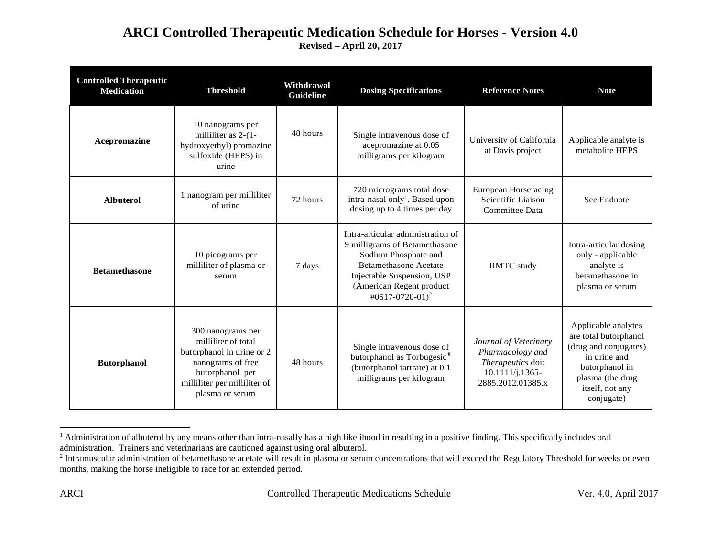## **ARCI Controlled Therapeutic Medication Schedule for Horses - Version 4.0 Revised – April 20, 2017**

| <b>Controlled Therapeutic</b><br><b>Medication</b> | <b>Threshold</b>                                                                                                                                                 | Withdrawal<br><b>Guideline</b> | <b>Dosing Specifications</b>                                                                                                                                                                                        | <b>Reference Notes</b>                                                                                    | <b>Note</b>                                                                                                                                                  |
|----------------------------------------------------|------------------------------------------------------------------------------------------------------------------------------------------------------------------|--------------------------------|---------------------------------------------------------------------------------------------------------------------------------------------------------------------------------------------------------------------|-----------------------------------------------------------------------------------------------------------|--------------------------------------------------------------------------------------------------------------------------------------------------------------|
| Acepromazine                                       | 10 nanograms per<br>milliliter as 2-(1-<br>hydroxyethyl) promazine<br>sulfoxide (HEPS) in<br>urine                                                               | 48 hours                       | Single intravenous dose of<br>acepromazine at 0.05<br>milligrams per kilogram                                                                                                                                       | University of California<br>at Davis project                                                              | Applicable analyte is<br>metabolite HEPS                                                                                                                     |
| <b>Albuterol</b>                                   | 1 nanogram per milliliter<br>of urine                                                                                                                            | 72 hours                       | 720 micrograms total dose<br>intra-nasal only <sup>1</sup> . Based upon<br>dosing up to 4 times per day                                                                                                             | European Horseracing<br>Scientific Liaison<br><b>Committee Data</b>                                       | See Endnote                                                                                                                                                  |
| <b>Betamethasone</b>                               | 10 picograms per<br>milliliter of plasma or<br>serum                                                                                                             | 7 days                         | Intra-articular administration of<br>9 milligrams of Betamethasone<br>Sodium Phosphate and<br><b>Betamethasone Acetate</b><br>Injectable Suspension, USP<br>(American Regent product<br>#0517-0720-01) <sup>2</sup> | <b>RMTC</b> study                                                                                         | Intra-articular dosing<br>only - applicable<br>analyte is<br>betamethasone in<br>plasma or serum                                                             |
| <b>Butorphanol</b>                                 | 300 nanograms per<br>milliliter of total<br>butorphanol in urine or 2<br>nanograms of free<br>butorphanol per<br>milliliter per milliliter of<br>plasma or serum | 48 hours                       | Single intravenous dose of<br>butorphanol as Torbugesic®<br>(butorphanol tartrate) at 0.1<br>milligrams per kilogram                                                                                                | Journal of Veterinary<br>Pharmacology and<br>Therapeutics doi:<br>$10.1111/j.1365$ -<br>2885.2012.01385.x | Applicable analytes<br>are total butorphanol<br>(drug and conjugates)<br>in urine and<br>butorphanol in<br>plasma (the drug<br>itself, not any<br>conjugate) |

l <sup>1</sup> Administration of albuterol by any means other than intra-nasally has a high likelihood in resulting in a positive finding. This specifically includes oral administration. Trainers and veterinarians are cautioned against using oral albuterol.

ARCI Controlled Therapeutic Medications Schedule Ver. 4.0, April 2017

 $<sup>2</sup>$  Intramuscular administration of betamethasone acetate will result in plasma or serum concentrations that will exceed the Regulatory Threshold for weeks or even</sup> months, making the horse ineligible to race for an extended period.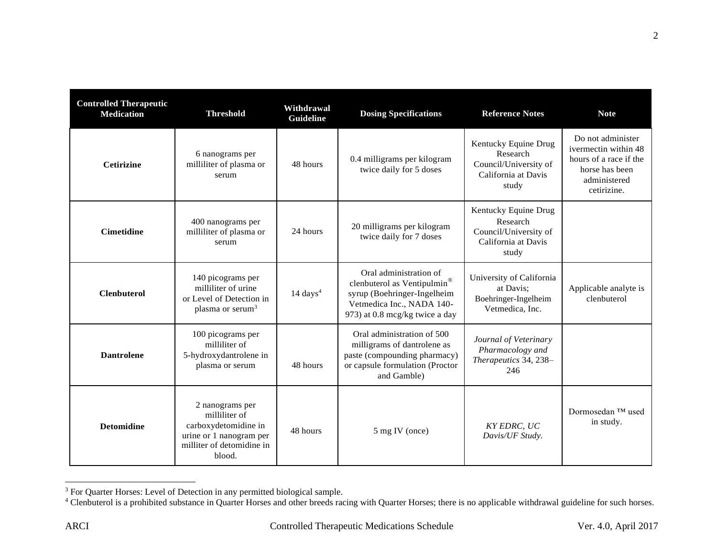| <b>Controlled Therapeutic</b><br><b>Medication</b> | <b>Threshold</b>                                                                                                           | <b>Withdrawal</b><br><b>Guideline</b> | <b>Dosing Specifications</b>                                                                                                                        | <b>Reference Notes</b>                                                                    | <b>Note</b>                                                                                                          |
|----------------------------------------------------|----------------------------------------------------------------------------------------------------------------------------|---------------------------------------|-----------------------------------------------------------------------------------------------------------------------------------------------------|-------------------------------------------------------------------------------------------|----------------------------------------------------------------------------------------------------------------------|
| <b>Cetirizine</b>                                  | 6 nanograms per<br>milliliter of plasma or<br>serum                                                                        | 48 hours                              | 0.4 milligrams per kilogram<br>twice daily for 5 doses                                                                                              | Kentucky Equine Drug<br>Research<br>Council/University of<br>California at Davis<br>study | Do not administer<br>ivermectin within 48<br>hours of a race if the<br>horse has been<br>administered<br>cetirizine. |
| <b>Cimetidine</b>                                  | 400 nanograms per<br>milliliter of plasma or<br>serum                                                                      | 24 hours                              | 20 milligrams per kilogram<br>twice daily for 7 doses                                                                                               | Kentucky Equine Drug<br>Research<br>Council/University of<br>California at Davis<br>study |                                                                                                                      |
| <b>Clenbuterol</b>                                 | 140 picograms per<br>milliliter of urine<br>or Level of Detection in<br>plasma or serum <sup>3</sup>                       | $14 \text{ days}^4$                   | Oral administration of<br>clenbuterol as Ventipulmin®<br>syrup (Boehringer-Ingelheim<br>Vetmedica Inc., NADA 140-<br>973) at 0.8 mcg/kg twice a day | University of California<br>at Davis;<br>Boehringer-Ingelheim<br>Vetmedica, Inc.          | Applicable analyte is<br>clenbuterol                                                                                 |
| <b>Dantrolene</b>                                  | 100 picograms per<br>milliliter of<br>5-hydroxydantrolene in<br>plasma or serum                                            | 48 hours                              | Oral administration of 500<br>milligrams of dantrolene as<br>paste (compounding pharmacy)<br>or capsule formulation (Proctor<br>and Gamble)         | Journal of Veterinary<br>Pharmacology and<br>Therapeutics 34, 238-<br>246                 |                                                                                                                      |
| <b>Detomidine</b>                                  | 2 nanograms per<br>milliliter of<br>carboxydetomidine in<br>urine or 1 nanogram per<br>milliter of detomidine in<br>blood. | 48 hours                              | 5 mg IV (once)                                                                                                                                      | KY EDRC, UC<br>Davis/UF Study.                                                            | Dormosedan ™ used<br>in study.                                                                                       |

 $3$  For Quarter Horses: Level of Detection in any permitted biological sample.

l

<sup>&</sup>lt;sup>4</sup> Clenbuterol is a prohibited substance in Quarter Horses and other breeds racing with Quarter Horses; there is no applicable withdrawal guideline for such horses.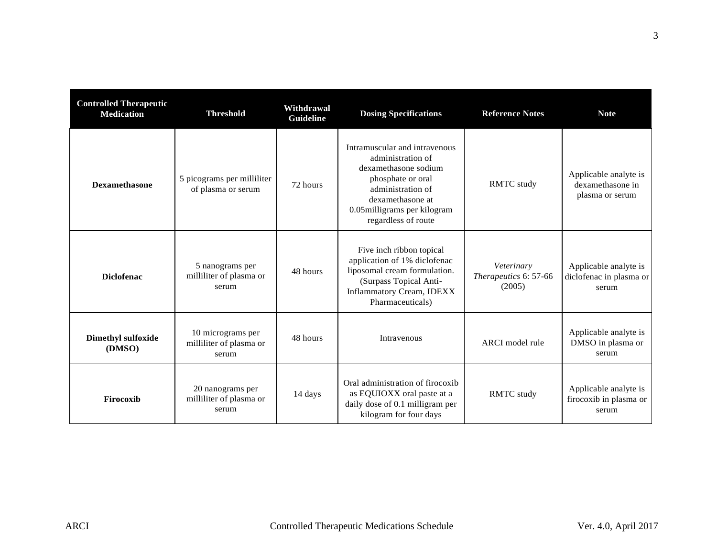| <b>Controlled Therapeutic</b><br><b>Medication</b> | <b>Threshold</b>                                      | Withdrawal<br>Guideline | <b>Dosing Specifications</b>                                                                                                                                                                    | <b>Reference Notes</b>                        | <b>Note</b>                                                  |
|----------------------------------------------------|-------------------------------------------------------|-------------------------|-------------------------------------------------------------------------------------------------------------------------------------------------------------------------------------------------|-----------------------------------------------|--------------------------------------------------------------|
| <b>Dexamethasone</b>                               | 5 picograms per milliliter<br>of plasma or serum      | 72 hours                | Intramuscular and intravenous<br>administration of<br>dexamethasone sodium<br>phosphate or oral<br>administration of<br>dexamethasone at<br>0.05 milligrams per kilogram<br>regardless of route | <b>RMTC</b> study                             | Applicable analyte is<br>dexamethasone in<br>plasma or serum |
| <b>Diclofenac</b>                                  | 5 nanograms per<br>milliliter of plasma or<br>serum   | 48 hours                | Five inch ribbon topical<br>application of 1% diclofenac<br>liposomal cream formulation.<br>(Surpass Topical Anti-<br><b>Inflammatory Cream, IDEXX</b><br>Pharmaceuticals)                      | Veterinary<br>Therapeutics 6: 57-66<br>(2005) | Applicable analyte is<br>diclofenac in plasma or<br>serum    |
| <b>Dimethyl sulfoxide</b><br>(DMSO)                | 10 micrograms per<br>milliliter of plasma or<br>serum | 48 hours                | Intravenous                                                                                                                                                                                     | ARCI model rule                               | Applicable analyte is<br>DMSO in plasma or<br>serum          |
| Firocoxib                                          | 20 nanograms per<br>milliliter of plasma or<br>serum  | 14 days                 | Oral administration of firocoxib<br>as EQUIOXX oral paste at a<br>daily dose of 0.1 milligram per<br>kilogram for four days                                                                     | <b>RMTC</b> study                             | Applicable analyte is<br>firocoxib in plasma or<br>serum     |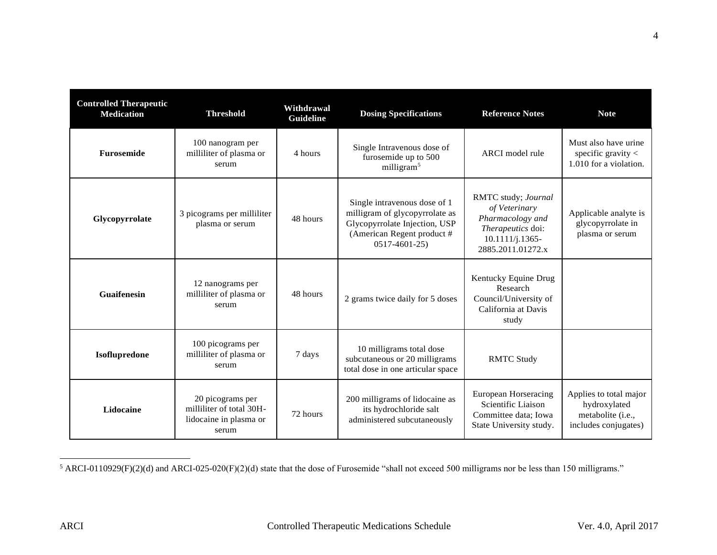| <b>Controlled Therapeutic</b><br><b>Medication</b>                                           | <b>Threshold</b>                                      | Withdrawal<br><b>Guideline</b> | <b>Dosing Specifications</b>                                                                                                                        | <b>Reference Notes</b>                                                                                                   | <b>Note</b>                                                                         |
|----------------------------------------------------------------------------------------------|-------------------------------------------------------|--------------------------------|-----------------------------------------------------------------------------------------------------------------------------------------------------|--------------------------------------------------------------------------------------------------------------------------|-------------------------------------------------------------------------------------|
| <b>Furosemide</b>                                                                            | 100 nanogram per<br>milliliter of plasma or<br>serum  | 4 hours                        | Single Intravenous dose of<br>furosemide up to 500<br>milligram <sup>5</sup>                                                                        | ARCI model rule                                                                                                          | Must also have urine<br>specific gravity $\langle$<br>1.010 for a violation.        |
| Glycopyrrolate                                                                               | 3 picograms per milliliter<br>plasma or serum         | 48 hours                       | Single intravenous dose of 1<br>milligram of glycopyrrolate as<br>Glycopyrrolate Injection, USP<br>(American Regent product #<br>$0517 - 4601 - 25$ | RMTC study; Journal<br>of Veterinary<br>Pharmacology and<br>Therapeutics doi:<br>$10.1111/j.1365 -$<br>2885.2011.01272.x | Applicable analyte is<br>glycopyrrolate in<br>plasma or serum                       |
| <b>Guaifenesin</b>                                                                           | 12 nanograms per<br>milliliter of plasma or<br>serum  | 48 hours                       | 2 grams twice daily for 5 doses                                                                                                                     | Kentucky Equine Drug<br>Research<br>Council/University of<br>California at Davis<br>study                                |                                                                                     |
| Isoflupredone                                                                                | 100 picograms per<br>milliliter of plasma or<br>serum | 7 days                         | 10 milligrams total dose<br>subcutaneous or 20 milligrams<br>total dose in one articular space                                                      | <b>RMTC Study</b>                                                                                                        |                                                                                     |
| 20 picograms per<br>milliliter of total 30H-<br>Lidocaine<br>lidocaine in plasma or<br>serum |                                                       | 72 hours                       | 200 milligrams of lidocaine as<br>its hydrochloride salt<br>administered subcutaneously                                                             | European Horseracing<br>Scientific Liaison<br>Committee data; Iowa<br>State University study.                            | Applies to total major<br>hydroxylated<br>metabolite (i.e.,<br>includes conjugates) |

 $5$  ARCI-0110929(F)(2)(d) and ARCI-025-020(F)(2)(d) state that the dose of Furosemide "shall not exceed 500 milligrams nor be less than 150 milligrams."

l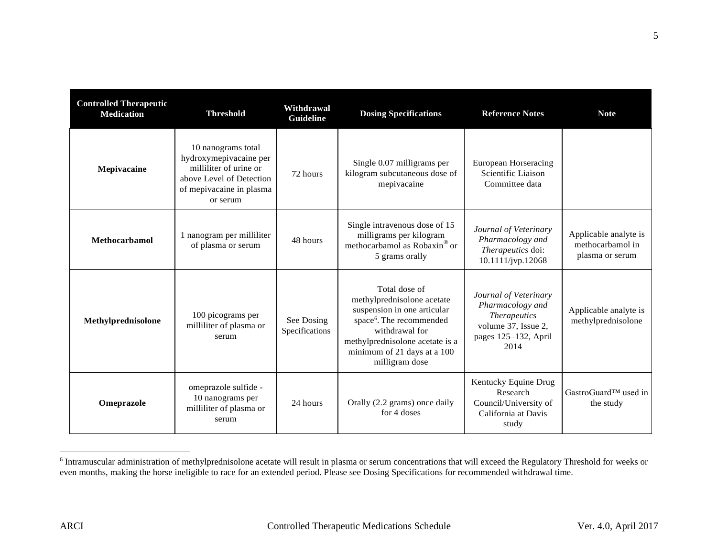| <b>Controlled Therapeutic</b><br><b>Medication</b>                                         | <b>Threshold</b>                                                                                                                           | Withdrawal<br><b>Guideline</b> | <b>Dosing Specifications</b>                                                                                                                                                                                             | <b>Reference Notes</b>                                                                                                  | <b>Note</b>                                                  |
|--------------------------------------------------------------------------------------------|--------------------------------------------------------------------------------------------------------------------------------------------|--------------------------------|--------------------------------------------------------------------------------------------------------------------------------------------------------------------------------------------------------------------------|-------------------------------------------------------------------------------------------------------------------------|--------------------------------------------------------------|
| Mepivacaine                                                                                | 10 nanograms total<br>hydroxymepivacaine per<br>milliliter of urine or<br>above Level of Detection<br>of mepivacaine in plasma<br>or serum | 72 hours                       | Single 0.07 milligrams per<br>kilogram subcutaneous dose of<br>mepivacaine                                                                                                                                               | European Horseracing<br>Scientific Liaison<br>Committee data                                                            |                                                              |
| Methocarbamol                                                                              | nanogram per milliliter<br>of plasma or serum                                                                                              | 48 hours                       | Single intravenous dose of 15<br>milligrams per kilogram<br>methocarbamol as Robaxin® or<br>5 grams orally                                                                                                               | Journal of Veterinary<br>Pharmacology and<br>Therapeutics doi:<br>10.1111/jvp.12068                                     | Applicable analyte is<br>methocarbamol in<br>plasma or serum |
| Methylprednisolone                                                                         | 100 picograms per<br>milliliter of plasma or<br>serum                                                                                      | See Dosing<br>Specifications   | Total dose of<br>methylprednisolone acetate<br>suspension in one articular<br>space <sup>6</sup> . The recommended<br>withdrawal for<br>methylprednisolone acetate is a<br>minimum of 21 days at a 100<br>milligram dose | Journal of Veterinary<br>Pharmacology and<br><b>Therapeutics</b><br>volume 37, Issue 2,<br>pages 125-132, April<br>2014 | Applicable analyte is<br>methylprednisolone                  |
| omeprazole sulfide -<br>10 nanograms per<br>Omeprazole<br>milliliter of plasma or<br>serum |                                                                                                                                            | 24 hours                       | Orally (2.2 grams) once daily<br>for 4 doses                                                                                                                                                                             | Kentucky Equine Drug<br>Research<br>Council/University of<br>California at Davis<br>study                               | $GastroGuard^{TM}$ used in<br>the study                      |

<sup>&</sup>lt;sup>6</sup> Intramuscular administration of methylprednisolone acetate will result in plasma or serum concentrations that will exceed the Regulatory Threshold for weeks or even months, making the horse ineligible to race for an extended period. Please see Dosing Specifications for recommended withdrawal time.

5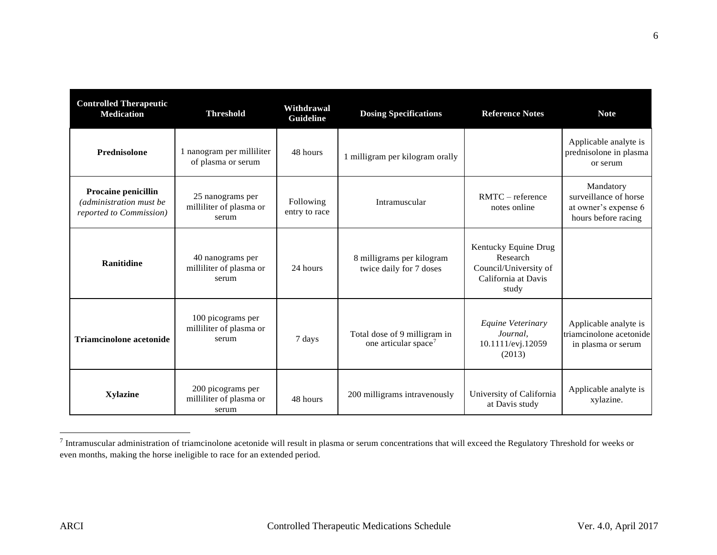| <b>Controlled Therapeutic</b><br><b>Medication</b>                               | <b>Threshold</b>                                      | Withdrawal<br><b>Guideline</b> | <b>Dosing Specifications</b>                                     | <b>Reference Notes</b>                                                                    | <b>Note</b>                                                                       |
|----------------------------------------------------------------------------------|-------------------------------------------------------|--------------------------------|------------------------------------------------------------------|-------------------------------------------------------------------------------------------|-----------------------------------------------------------------------------------|
| Prednisolone                                                                     | nanogram per milliliter<br>of plasma or serum         |                                | 1 milligram per kilogram orally                                  |                                                                                           | Applicable analyte is<br>prednisolone in plasma<br>or serum                       |
| <b>Procaine penicillin</b><br>(administration must be<br>reported to Commission) | 25 nanograms per<br>milliliter of plasma or<br>serum  | Following<br>entry to race     | Intramuscular                                                    | $RMTC - reference$<br>notes online                                                        | Mandatory<br>surveillance of horse<br>at owner's expense 6<br>hours before racing |
| <b>Ranitidine</b>                                                                | 40 nanograms per<br>milliliter of plasma or<br>serum  | 24 hours                       | 8 milligrams per kilogram<br>twice daily for 7 doses             | Kentucky Equine Drug<br>Research<br>Council/University of<br>California at Davis<br>study |                                                                                   |
| <b>Triamcinolone acetonide</b>                                                   | 100 picograms per<br>milliliter of plasma or<br>serum | 7 days                         | Total dose of 9 milligram in<br>one articular space <sup>7</sup> | Equine Veterinary<br>Journal,<br>10.1111/evj.12059<br>(2013)                              | Applicable analyte is<br>triamcinolone acetonide<br>in plasma or serum            |
| 200 picograms per<br><b>Xylazine</b><br>milliliter of plasma or<br>serum         |                                                       | 48 hours                       | 200 milligrams intravenously                                     | University of California<br>at Davis study                                                | Applicable analyte is<br>xylazine.                                                |

 $^7$  Intramuscular administration of triamcinolone acetonide will result in plasma or serum concentrations that will exceed the Regulatory Threshold for weeks or even months, making the horse ineligible to race for an extended period.

l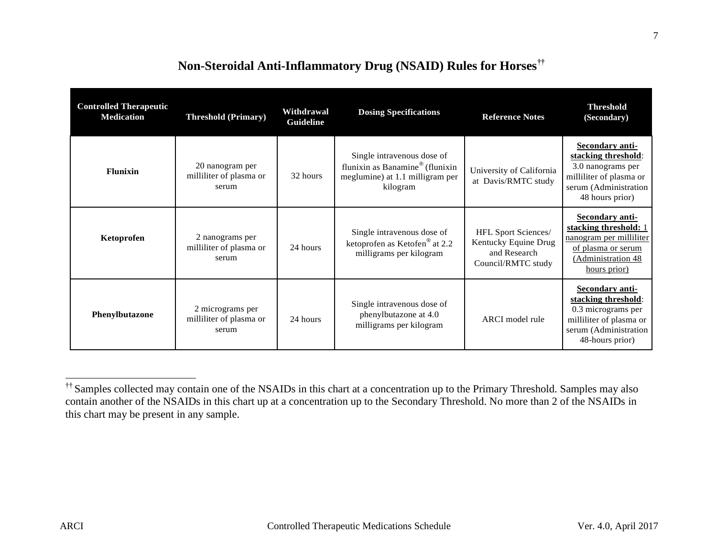## **Non-Steroidal Anti-Inflammatory Drug (NSAID) Rules for Horses††**

| <b>Controlled Therapeutic</b><br><b>Medication</b> | <b>Threshold (Primary)</b>                           | Withdrawal<br><b>Guideline</b> | <b>Dosing Specifications</b>                                                                                             | <b>Reference Notes</b>                                                            | <b>Threshold</b><br>(Secondary)                                                                                                     |
|----------------------------------------------------|------------------------------------------------------|--------------------------------|--------------------------------------------------------------------------------------------------------------------------|-----------------------------------------------------------------------------------|-------------------------------------------------------------------------------------------------------------------------------------|
| <b>Flunixin</b>                                    | 20 nanogram per<br>milliliter of plasma or<br>serum  | 32 hours                       | Single intravenous dose of<br>flunixin as Banamine <sup>®</sup> (flunixin<br>meglumine) at 1.1 milligram per<br>kilogram | University of California<br>at Davis/RMTC study                                   | Secondary anti-<br>stacking threshold:<br>3.0 nanograms per<br>milliliter of plasma or<br>serum (Administration<br>48 hours prior)  |
| Ketoprofen                                         | 2 nanograms per<br>milliliter of plasma or<br>serum  | 24 hours                       | Single intravenous dose of<br>ketoprofen as Ketofen <sup>®</sup> at 2.2<br>milligrams per kilogram                       | HFL Sport Sciences/<br>Kentucky Equine Drug<br>and Research<br>Council/RMTC study | Secondary anti-<br>stacking threshold: 1<br>nanogram per milliliter<br>of plasma or serum<br>(Administration 48<br>hours prior)     |
| Phenylbutazone                                     | 2 micrograms per<br>milliliter of plasma or<br>serum | 24 hours                       | Single intravenous dose of<br>phenylbutazone at 4.0<br>milligrams per kilogram                                           | ARCI model rule                                                                   | Secondary anti-<br>stacking threshold:<br>0.3 micrograms per<br>milliliter of plasma or<br>serum (Administration<br>48-hours prior) |

7

<sup>††</sup> Samples collected may contain one of the NSAIDs in this chart at a concentration up to the Primary Threshold. Samples may also contain another of the NSAIDs in this chart up at a concentration up to the Secondary Threshold. No more than 2 of the NSAIDs in this chart may be present in any sample.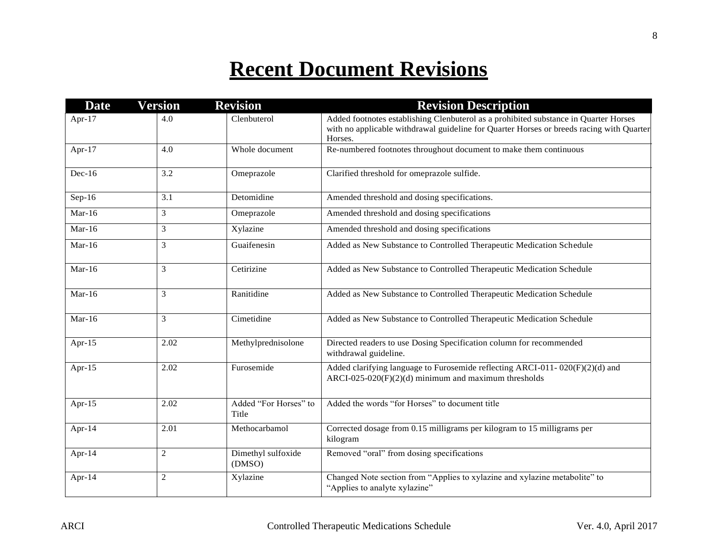## **Recent Document Revisions**

| <b>Date</b> | <b>Version</b> | <b>Revision</b>                | <b>Revision Description</b>                                                                                                                                                                 |
|-------------|----------------|--------------------------------|---------------------------------------------------------------------------------------------------------------------------------------------------------------------------------------------|
| Apr-17      | 4.0            | Clenbuterol                    | Added footnotes establishing Clenbuterol as a prohibited substance in Quarter Horses<br>with no applicable withdrawal guideline for Quarter Horses or breeds racing with Quarter<br>Horses. |
| Apr-17      | 4.0            | Whole document                 | Re-numbered footnotes throughout document to make them continuous                                                                                                                           |
| $Dec-16$    | 3.2            | Omeprazole                     | Clarified threshold for omeprazole sulfide.                                                                                                                                                 |
| $Sep-16$    | 3.1            | Detomidine                     | Amended threshold and dosing specifications.                                                                                                                                                |
| $Mar-16$    | 3              | Omeprazole                     | Amended threshold and dosing specifications                                                                                                                                                 |
| $Mar-16$    | 3              | Xylazine                       | Amended threshold and dosing specifications                                                                                                                                                 |
| $Mar-16$    | 3              | Guaifenesin                    | Added as New Substance to Controlled Therapeutic Medication Schedule                                                                                                                        |
| $Mar-16$    | 3              | Cetirizine                     | Added as New Substance to Controlled Therapeutic Medication Schedule                                                                                                                        |
| $Mar-16$    | 3              | Ranitidine                     | Added as New Substance to Controlled Therapeutic Medication Schedule                                                                                                                        |
| $Mar-16$    | 3              | Cimetidine                     | Added as New Substance to Controlled Therapeutic Medication Schedule                                                                                                                        |
| Apr-15      | 2.02           | Methylprednisolone             | Directed readers to use Dosing Specification column for recommended<br>withdrawal guideline.                                                                                                |
| Apr- $15$   | 2.02           | Furosemide                     | Added clarifying language to Furosemide reflecting ARCI-011-020(F)(2)(d) and<br>$ARCI-025-020(F)(2)(d)$ minimum and maximum thresholds                                                      |
| Apr- $15$   | 2.02           | Added "For Horses" to<br>Title | Added the words "for Horses" to document title                                                                                                                                              |
| Apr-14      | 2.01           | Methocarbamol                  | Corrected dosage from 0.15 milligrams per kilogram to 15 milligrams per<br>kilogram                                                                                                         |
| Apr-14      | $\overline{2}$ | Dimethyl sulfoxide<br>(DMSO)   | Removed "oral" from dosing specifications                                                                                                                                                   |
| Apr-14      | $\overline{2}$ | Xylazine                       | Changed Note section from "Applies to xylazine and xylazine metabolite" to<br>"Applies to analyte xylazine"                                                                                 |